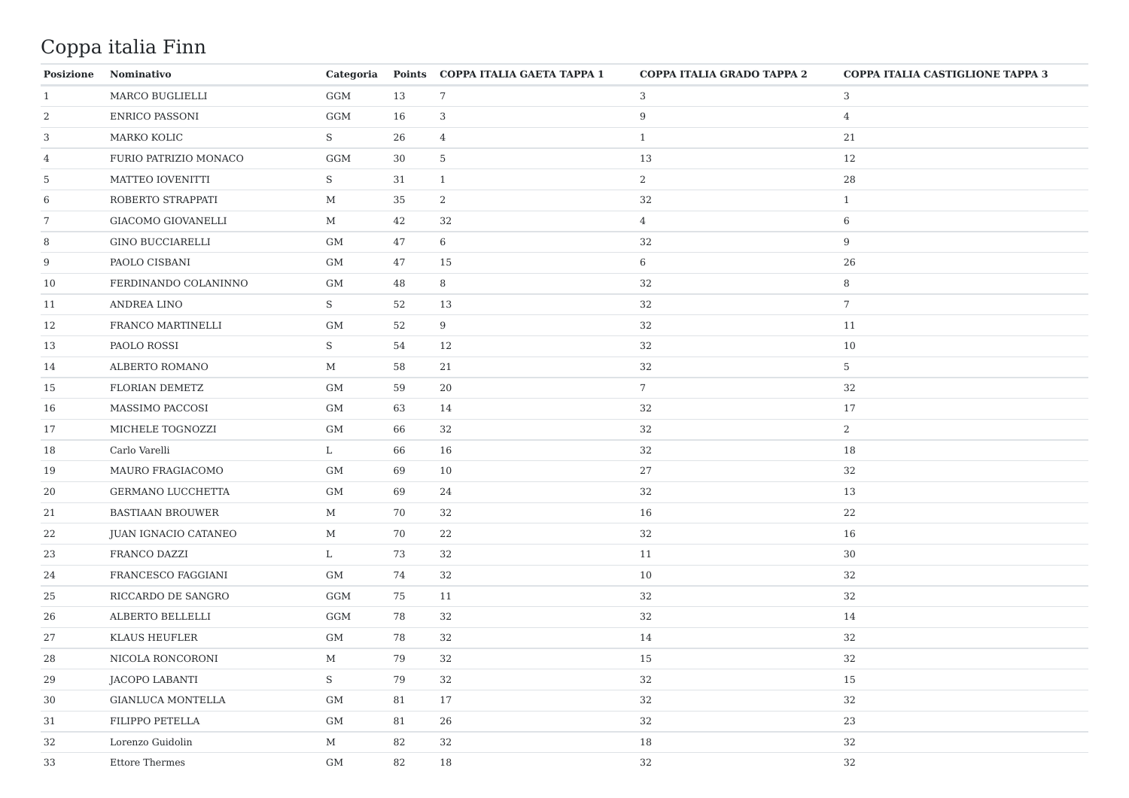## Coppa italia Finn

| <b>Posizione</b> | Nominativo               |             |    | Categoria Points COPPA ITALIA GAETA TAPPA 1 | COPPA ITALIA GRADO TAPPA 2 | <b>COPPA ITALIA CASTIGLIONE TAPPA 3</b> |
|------------------|--------------------------|-------------|----|---------------------------------------------|----------------------------|-----------------------------------------|
| 1                | MARCO BUGLIELLI          | GGM         | 13 | $7\phantom{.0}$                             | 3                          | 3                                       |
| 2                | ENRICO PASSONI           | GGM         | 16 | 3                                           | 9                          | $\overline{4}$                          |
| $\mathbf{3}$     | MARKO KOLIC              | S           | 26 | $\overline{4}$                              | $\mathbf{1}$               | 21                                      |
| $\overline{4}$   | FURIO PATRIZIO MONACO    | GGM         | 30 | $5\phantom{.0}$                             | 13                         | 12                                      |
| $5\phantom{.0}$  | MATTEO IOVENITTI         | S           | 31 | 1                                           | $\overline{2}$             | 28                                      |
| 6                | ROBERTO STRAPPATI        | $\mathbf M$ | 35 | 2                                           | 32                         | $\mathbf{1}$                            |
| 7                | GIACOMO GIOVANELLI       | $\mathbf M$ | 42 | 32                                          | 4                          | 6                                       |
| 8                | GINO BUCCIARELLI         | GM          | 47 | 6                                           | 32                         | 9                                       |
| 9                | PAOLO CISBANI            | GM          | 47 | 15                                          | 6                          | 26                                      |
| 10               | FERDINANDO COLANINNO     | GM          | 48 | 8                                           | 32                         | 8                                       |
| 11               | ANDREA LINO              | S           | 52 | 13                                          | 32                         | 7                                       |
| 12               | FRANCO MARTINELLI        | <b>GM</b>   | 52 | 9                                           | 32                         | 11                                      |
| 13               | PAOLO ROSSI              | S           | 54 | 12                                          | 32                         | 10                                      |
| 14               | ALBERTO ROMANO           | $\mathbf M$ | 58 | 21                                          | 32                         | 5                                       |
| 15               | FLORIAN DEMETZ           | <b>GM</b>   | 59 | 20                                          | $7\overline{ }$            | 32                                      |
| 16               | MASSIMO PACCOSI          | GM          | 63 | 14                                          | 32                         | 17                                      |
| 17               | MICHELE TOGNOZZI         | GM          | 66 | 32                                          | 32                         | 2                                       |
| 18               | Carlo Varelli            | L           | 66 | 16                                          | 32                         | 18                                      |
| 19               | MAURO FRAGIACOMO         | GM          | 69 | 10                                          | 27                         | 32                                      |
| 20               | GERMANO LUCCHETTA        | GM          | 69 | 24                                          | 32                         | 13                                      |
| 21               | <b>BASTIAAN BROUWER</b>  | $\mathbf M$ | 70 | 32                                          | 16                         | 22                                      |
| 22               | JUAN IGNACIO CATANEO     | $\mathbf M$ | 70 | 22                                          | 32                         | 16                                      |
| 23               | FRANCO DAZZI             | L           | 73 | 32                                          | 11                         | 30                                      |
| 24               | FRANCESCO FAGGIANI       | GM          | 74 | 32                                          | 10                         | 32                                      |
| 25               | RICCARDO DE SANGRO       | GGM         | 75 | 11                                          | 32                         | 32                                      |
| 26               | ALBERTO BELLELLI         | GGM         | 78 | 32                                          | 32                         | 14                                      |
| 27               | <b>KLAUS HEUFLER</b>     | GM          | 78 | 32                                          | 14                         | 32                                      |
| 28               | NICOLA RONCORONI         | $\mathbf M$ | 79 | 32                                          | 15                         | 32                                      |
| 29               | <b>JACOPO LABANTI</b>    | S           | 79 | 32                                          | 32                         | 15                                      |
| 30               | <b>GIANLUCA MONTELLA</b> | GM          | 81 | 17                                          | 32                         | 32                                      |
| 31               | FILIPPO PETELLA          | GM          | 81 | 26                                          | 32                         | 23                                      |
| 32               | Lorenzo Guidolin         | $\mathbf M$ | 82 | 32                                          | 18                         | 32                                      |
| 33               | <b>Ettore Thermes</b>    | GM          | 82 | 18                                          | 32                         | 32                                      |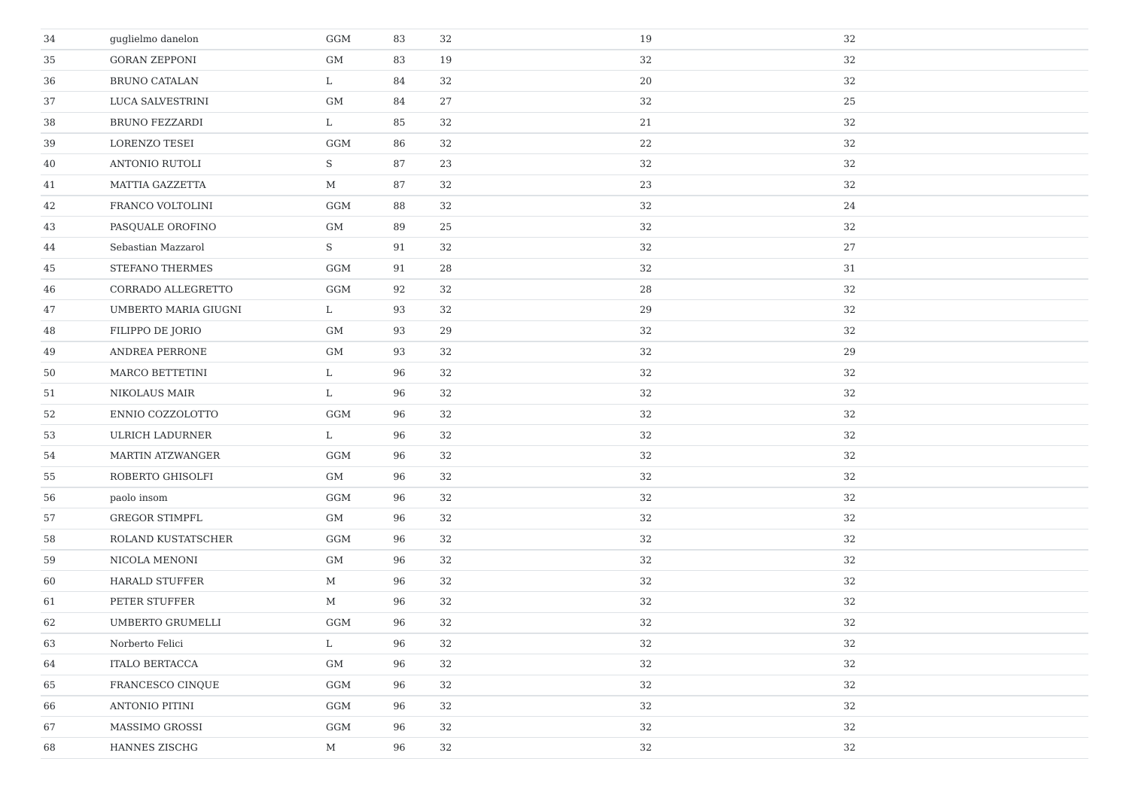| 34 | guglielmo danelon      | GGM         | 83 | 32 | 19 | 32 |
|----|------------------------|-------------|----|----|----|----|
| 35 | <b>GORAN ZEPPONI</b>   | GM          | 83 | 19 | 32 | 32 |
| 36 | <b>BRUNO CATALAN</b>   | L           | 84 | 32 | 20 | 32 |
| 37 | LUCA SALVESTRINI       | $\mbox{GM}$ | 84 | 27 | 32 | 25 |
| 38 | <b>BRUNO FEZZARDI</b>  | L           | 85 | 32 | 21 | 32 |
| 39 | LORENZO TESEI          | GGM         | 86 | 32 | 22 | 32 |
| 40 | <b>ANTONIO RUTOLI</b>  | S           | 87 | 23 | 32 | 32 |
| 41 | <b>MATTIA GAZZETTA</b> | $\mathbf M$ | 87 | 32 | 23 | 32 |
| 42 | FRANCO VOLTOLINI       | GGM         | 88 | 32 | 32 | 24 |
| 43 | PASQUALE OROFINO       | GM          | 89 | 25 | 32 | 32 |
| 44 | Sebastian Mazzarol     | S           | 91 | 32 | 32 | 27 |
| 45 | STEFANO THERMES        | GGM         | 91 | 28 | 32 | 31 |
| 46 | CORRADO ALLEGRETTO     | GGM         | 92 | 32 | 28 | 32 |
| 47 | UMBERTO MARIA GIUGNI   | L           | 93 | 32 | 29 | 32 |
| 48 | FILIPPO DE JORIO       | GM          | 93 | 29 | 32 | 32 |
| 49 | ANDREA PERRONE         | $\mbox{GM}$ | 93 | 32 | 32 | 29 |
| 50 | MARCO BETTETINI        | L           | 96 | 32 | 32 | 32 |
| 51 | NIKOLAUS MAIR          | L           | 96 | 32 | 32 | 32 |
| 52 | ENNIO COZZOLOTTO       | GGM         | 96 | 32 | 32 | 32 |
| 53 | <b>ULRICH LADURNER</b> | L           | 96 | 32 | 32 | 32 |
| 54 | MARTIN ATZWANGER       | GGM         | 96 | 32 | 32 | 32 |
| 55 | ROBERTO GHISOLFI       | GM          | 96 | 32 | 32 | 32 |
| 56 | paolo insom            | GGM         | 96 | 32 | 32 | 32 |
| 57 | <b>GREGOR STIMPFL</b>  | GM          | 96 | 32 | 32 | 32 |
| 58 | ROLAND KUSTATSCHER     | GGM         | 96 | 32 | 32 | 32 |
| 59 | NICOLA MENONI          | GM          | 96 | 32 | 32 | 32 |
| 60 | <b>HARALD STUFFER</b>  | $\mathbf M$ | 96 | 32 | 32 | 32 |
| 61 | PETER STUFFER          | $\mathbf M$ | 96 | 32 | 32 | 32 |
| 62 | UMBERTO GRUMELLI       | GGM         | 96 | 32 | 32 | 32 |
| 63 | Norberto Felici        | L           | 96 | 32 | 32 | 32 |
| 64 | <b>ITALO BERTACCA</b>  | GM          | 96 | 32 | 32 | 32 |
| 65 | FRANCESCO CINQUE       | GGM         | 96 | 32 | 32 | 32 |
| 66 | ANTONIO PITINI         | GGM         | 96 | 32 | 32 | 32 |
| 67 | MASSIMO GROSSI         | GGM         | 96 | 32 | 32 | 32 |
| 68 | HANNES ZISCHG          | $\mathbf M$ | 96 | 32 | 32 | 32 |